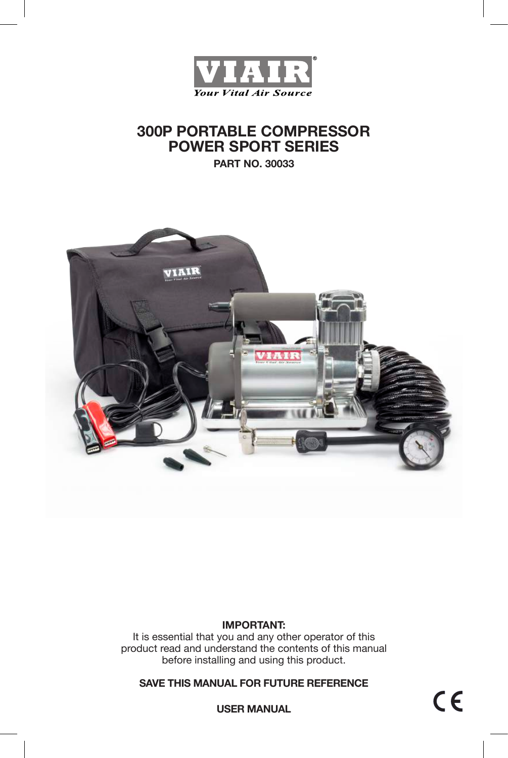

# **300P PORTABLE COMPRESSOR POWER SPORT SERIES**

**PART NO. 30033**



### **IMPORTANT:**

It is essential that you and any other operator of this product read and understand the contents of this manual before installing and using this product.

**SAVE THIS MANUAL FOR FUTURE REFERENCE**

**USER MANUAL**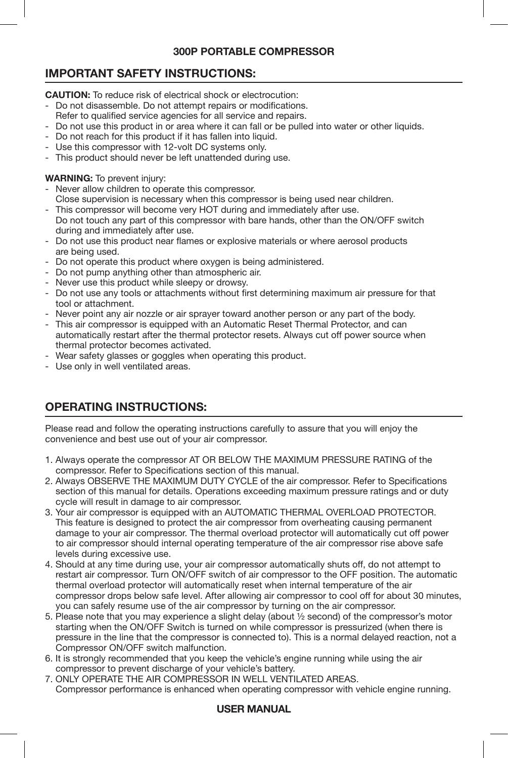### **300P PORTABLE COMPRESSOR**

# **IMPORTANT SAFETY INSTRUCTIONS:**

**CAUTION:** To reduce risk of electrical shock or electrocution:

- Do not disassemble. Do not attempt repairs or modifications.
- Refer to qualified service agencies for all service and repairs.
- Do not use this product in or area where it can fall or be pulled into water or other liquids.
- Do not reach for this product if it has fallen into liquid.
- Use this compressor with 12-volt DC systems only.
- This product should never be left unattended during use.

## **WARNING:** To prevent injury:

- Never allow children to operate this compressor.
- Close supervision is necessary when this compressor is being used near children.
- This compressor will become very HOT during and immediately after use. Do not touch any part of this compressor with bare hands, other than the ON/OFF switch during and immediately after use.
- Do not use this product near flames or explosive materials or where aerosol products are being used.
- Do not operate this product where oxygen is being administered.
- Do not pump anything other than atmospheric air.
- Never use this product while sleepy or drowsy.
- Do not use any tools or attachments without first determining maximum air pressure for that tool or attachment.
- Never point any air nozzle or air sprayer toward another person or any part of the body.
- This air compressor is equipped with an Automatic Reset Thermal Protector, and can automatically restart after the thermal protector resets. Always cut off power source when thermal protector becomes activated.
- Wear safety glasses or goggles when operating this product.
- Use only in well ventilated areas.

# **OPERATING INSTRUCTIONS:**

Please read and follow the operating instructions carefully to assure that you will enjoy the convenience and best use out of your air compressor.

- 1. Always operate the compressor AT OR BELOW THE MAXIMUM PRESSURE RATING of the compressor. Refer to Specifications section of this manual.
- 2. Always OBSERVE THE MAXIMUM DUTY CYCLE of the air compressor. Refer to Specifications section of this manual for details. Operations exceeding maximum pressure ratings and or duty cycle will result in damage to air compressor.
- 3. Your air compressor is equipped with an AUTOMATIC THERMAL OVERLOAD PROTECTOR. This feature is designed to protect the air compressor from overheating causing permanent damage to your air compressor. The thermal overload protector will automatically cut off power to air compressor should internal operating temperature of the air compressor rise above safe levels during excessive use.
- 4. Should at any time during use, your air compressor automatically shuts off, do not attempt to restart air compressor. Turn ON/OFF switch of air compressor to the OFF position. The automatic thermal overload protector will automatically reset when internal temperature of the air compressor drops below safe level. After allowing air compressor to cool off for about 30 minutes, you can safely resume use of the air compressor by turning on the air compressor.
- 5. Please note that you may experience a slight delay (about ½ second) of the compressor's motor starting when the ON/OFF Switch is turned on while compressor is pressurized (when there is pressure in the line that the compressor is connected to). This is a normal delayed reaction, not a Compressor ON/OFF switch malfunction.
- 6. It is strongly recommended that you keep the vehicle's engine running while using the air compressor to prevent discharge of your vehicle's battery.
- 7. ONLY OPERATE THE AIR COMPRESSOR IN WELL VENTILATED AREAS. Compressor performance is enhanced when operating compressor with vehicle engine running.

# **USER MANUAL**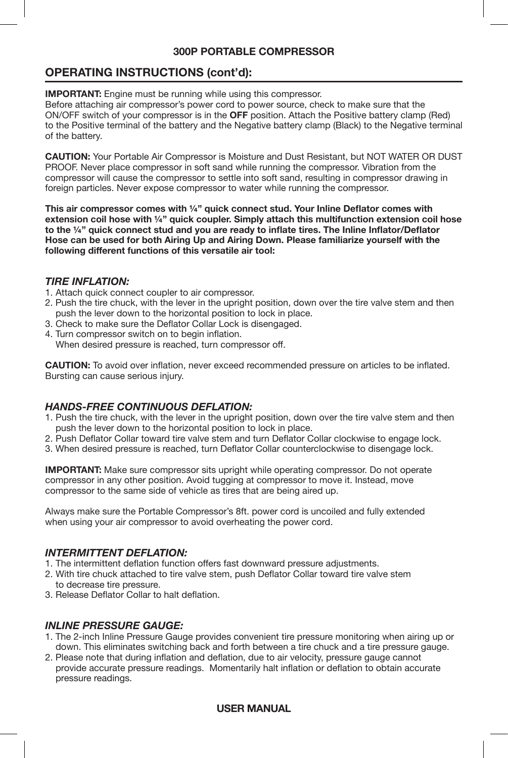### **300P PORTABLE COMPRESSOR**

# **OPERATING INSTRUCTIONS (cont'd):**

**IMPORTANT:** Engine must be running while using this compressor.

Before attaching air compressor's power cord to power source, check to make sure that the ON/OFF switch of your compressor is in the **OFF** position. Attach the Positive battery clamp (Red) to the Positive terminal of the battery and the Negative battery clamp (Black) to the Negative terminal of the battery.

**CAUTION:** Your Portable Air Compressor is Moisture and Dust Resistant, but NOT WATER OR DUST PROOF. Never place compressor in soft sand while running the compressor. Vibration from the compressor will cause the compressor to settle into soft sand, resulting in compressor drawing in foreign particles. Never expose compressor to water while running the compressor.

**This air compressor comes with ¼" quick connect stud. Your Inline Deflator comes with extension coil hose with ¼" quick coupler. Simply attach this multifunction extension coil hose to the ¼" quick connect stud and you are ready to inflate tires. The Inline Inflator/Deflator Hose can be used for both Airing Up and Airing Down. Please familiarize yourself with the following different functions of this versatile air tool:**

#### *TIRE INFLATION:*

- 1. Attach quick connect coupler to air compressor.
- 2. Push the tire chuck, with the lever in the upright position, down over the tire valve stem and then push the lever down to the horizontal position to lock in place.
- 3. Check to make sure the Deflator Collar Lock is disengaged.
- 4. Turn compressor switch on to begin inflation. When desired pressure is reached, turn compressor off.

**CAUTION:** To avoid over inflation, never exceed recommended pressure on articles to be inflated. Bursting can cause serious injury.

### *HANDS-FREE CONTINUOUS DEFLATION:*

- 1. Push the tire chuck, with the lever in the upright position, down over the tire valve stem and then push the lever down to the horizontal position to lock in place.
- 2. Push Deflator Collar toward tire valve stem and turn Deflator Collar clockwise to engage lock.
- 3. When desired pressure is reached, turn Deflator Collar counterclockwise to disengage lock.

**IMPORTANT:** Make sure compressor sits upright while operating compressor. Do not operate compressor in any other position. Avoid tugging at compressor to move it. Instead, move compressor to the same side of vehicle as tires that are being aired up.

Always make sure the Portable Compressor's 8ft. power cord is uncoiled and fully extended when using your air compressor to avoid overheating the power cord.

#### *INTERMITTENT DEFLATION:*

- 1. The intermittent deflation function offers fast downward pressure adjustments.
- 2. With tire chuck attached to tire valve stem, push Deflator Collar toward tire valve stem to decrease tire pressure.
- 3. Release Deflator Collar to halt deflation.

#### *INLINE PRESSURE GAUGE:*

- 1. The 2-inch Inline Pressure Gauge provides convenient tire pressure monitoring when airing up or down. This eliminates switching back and forth between a tire chuck and a tire pressure gauge.
- 2. Please note that during inflation and deflation, due to air velocity, pressure gauge cannot provide accurate pressure readings. Momentarily halt inflation or deflation to obtain accurate pressure readings.

#### **USER MANUAL**